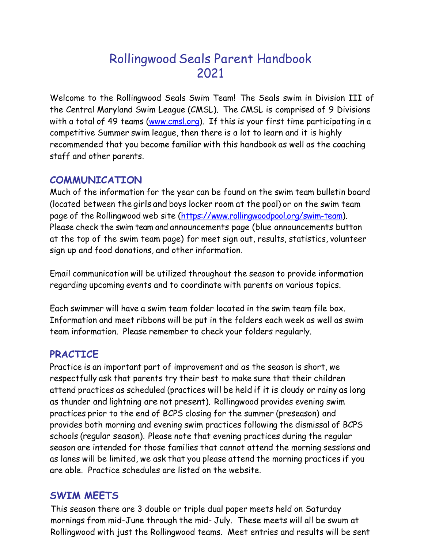# Rollingwood Seals Parent Handbook 2021

Welcome to the Rollingwood Seals Swim Team! The Seals swim in Division III of the Central Maryland Swim League (CMSL). The CMSL is comprised of 9 Divisions with a total of 49 teams (www.cmsl.org). If this is your first time participating in a competitive Summer swim league, then there is a lot to learn and it is highly recommended that you become familiar with this handbook as well as the coaching staff and other parents.

# **COMMUNICATION**

Much of the information for the year can be found on the swim team bulletin board (located between the girls and boys locker room at the pool) or on the swim team page of the Rollingwood web site (https://www.rollingwoodpool.org/swim-team). Please check the swim team and announcements page (blue announcements button at the top of the swim team page) for meet sign out, results, statistics, volunteer sign up and food donations, and other information.

Email communication will be utilized throughout the season to provide information regarding upcoming events and to coordinate with parents on various topics.

Each swimmer will have a swim team folder located in the swim team file box. Information and meet ribbons will be put in the folders each week as well as swim team information. Please remember to check your folders regularly.

# **PRACTICE**

Practice is an important part of improvement and as the season is short, we respectfully ask that parents try their best to make sure that their children attend practices as scheduled (practices will be held if it is cloudy or rainy as long as thunder and lightning are not present). Rollingwood provides evening swim practices prior to the end of BCPS closing for the summer (preseason) and provides both morning and evening swim practices following the dismissal of BCPS schools (regular season). Please note that evening practices during the regular season are intended for those families that cannot attend the morning sessions and as lanes will be limited, we ask that you please attend the morning practices if you are able. Practice schedules are listed on the website.

# SWIM MEETS

This season there are 3 double or triple dual paper meets held on Saturday mornings from mid-June through the mid- July. These meets will all be swum at Rollingwood with just the Rollingwood teams. Meet entries and results will be sent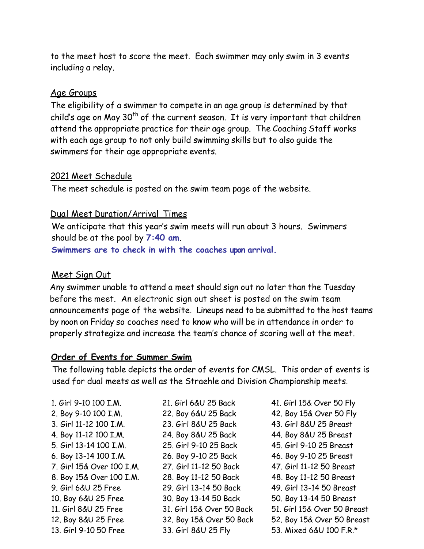to the meet host to score the meet. Each swimmer may only swim in 3 events including a relay.

#### Age Groups

The eligibility of a swimmer to compete in an age group is determined by that child's age on May  $30<sup>th</sup>$  of the current season. It is very important that children attend the appropriate practice for their age group. The Coaching Staff works with each age group to not only build swimming skills but to also guide the swimmers for their age appropriate events.

#### 2021 Meet Schedule

The meet schedule is posted on the swim team page of the website.

## Dual Meet Duration/Arrival Times

We anticipate that this year's swim meets will run about 3 hours. Swimmers should be at the pool by  $7:40$  am.

Swimmers are to check in with the coaches upon arrival.

## Meet Sign Out

Any swimmer unable to attend a meet should sign out no later than the Tuesday before the meet. An electronic sign out sheet is posted on the swim team announcements page of the website. Lineups need to be submitted to the host teams by noon on Friday so coaches need to know who will be in attendance in order to properly strategize and increase the team's chance of scoring well at the meet.

## Order of Events for Summer Swim

The following table depicts the order of events for CMSL. This order of events is used for dual meets as well as the Straehle and Division Championship meets.

1. Girl 9-10 100 I.M. 2. Boy 9-10 100 I.M. 3. Girl 11-12 100 I.M. 4. Boy 11-12 100 I.M. 5. Girl 13-14 100 I.M. 6. Boy 13-14 100 I.M. 7. Girl 15& Over 100 I.M. 8. Boy 15& Over 100 I.M. 9. Girl 6&U 25 Free 29. Girl 13-14 50 Back 49. Girl 13-14 50 Breast 10. Boy 6&U 25 Free 11. Girl 8&U 25 Free 12. Boy 8&U 25 Free 13. Girl 9-10 50 Free

21. Girl 6&U 25 Back 22. Boy 6&U 25 Back 23. Girl 8&U 25 Back 24. Boy 8&U 25 Back 25. Girl 9-10 25 Back 26. Boy 9-10 25 Back 27. Girl 11-12 50 Back 28. Boy 11-12 50 Back 30. Boy 13-14 50 Back 31. Girl 15& Over 50 Back 32. Boy 15& Over 50 Back 33. Girl 8&U 25 Fly

41. Girl 15& Over 50 Fly 42. Boy 15& Over 50 Fly 43. Girl 8&U 25 Breast 44. Boy 8&U 25 Breast 45. Girl 9-10 25 Breast 46. Boy 9-10 25 Breast 47. Girl 11-12 50 Breast 48. Boy 11-12 50 Breast 50. Boy 13-14 50 Breast 51. Girl 15& Over 50 Breast 52. Boy 15& Over 50 Breast 53. Mixed 6&U 100 F.R.\*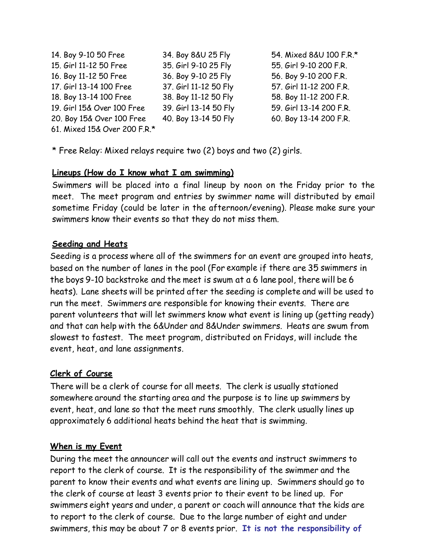| 14. Boy 9-10 50 Free         | 34. Boy 8&U 25 Fly    | 54. Mixed 8&U 100 F.R.* |
|------------------------------|-----------------------|-------------------------|
| 15. Girl 11-12 50 Free       | 35. Girl 9-10 25 Fly  | 55. Girl 9-10 200 F.R.  |
| 16. Boy 11-12 50 Free        | 36. Boy 9-10 25 Fly   | 56. Boy 9-10 200 F.R.   |
| 17. Girl 13-14 100 Free      | 37. Girl 11-12 50 Fly | 57. Girl 11-12 200 F.R. |
| 18. Boy 13-14 100 Free       | 38. Boy 11-12 50 Fly  | 58. Boy 11-12 200 F.R.  |
| 19. Girl 15& Over 100 Free   | 39. Girl 13-14 50 Fly | 59. Girl 13-14 200 F.R. |
| 20. Boy 15& Over 100 Free    | 40. Boy 13-14 50 Fly  | 60. Boy 13-14 200 F.R.  |
| 61. Mixed 15& Over 200 F.R.* |                       |                         |

\* Free Relay: Mixed relays require two (2) boys and two (2) girls.

## Lineups (How do I know what I am swimming)

Swimmers will be placed into a final lineup by noon on the Friday prior to the meet. The meet program and entries by swimmer name will distributed by email sometime Friday (could be later in the afternoon/evening). Please make sure your swimmers know their events so that they do not miss them.

## Seeding and Heats

Seeding is a process where all of the swimmers for an event are grouped into heats, based on the number of lanes in the pool (For example if there are 35 swimmers in the boys 9-10 backstroke and the meet is swum at a 6 lane pool, there will be 6 heats). Lane sheets will be printed after the seeding is complete and will be used to run the meet. Swimmers are responsible for knowing their events. There are parent volunteers that will let swimmers know what event is lining up (getting ready) and that can help with the 6&Under and 8&Under swimmers. Heats are swum from slowest to fastest. The meet program, distributed on Fridays, will include the event, heat, and lane assignments.

## Clerk of Course

There will be a clerk of course for all meets. The clerk is usually stationed somewhere around the starting area and the purpose is to line up swimmers by event, heat, and lane so that the meet runs smoothly. The clerk usually lines up approximately 6 additional heats behind the heat that is swimming.

## When is my Event

During the meet the announcer will call out the events and instruct swimmers to report to the clerk of course. It is the responsibility of the swimmer and the parent to know their events and what events are lining up. Swimmers should go to the clerk of course at least 3 events prior to their event to be lined up. For swimmers eight years and under, a parent or coach will announce that the kids are to report to the clerk of course. Due to the large number of eight and under swimmers, this may be about 7 or 8 events prior. It is not the responsibility of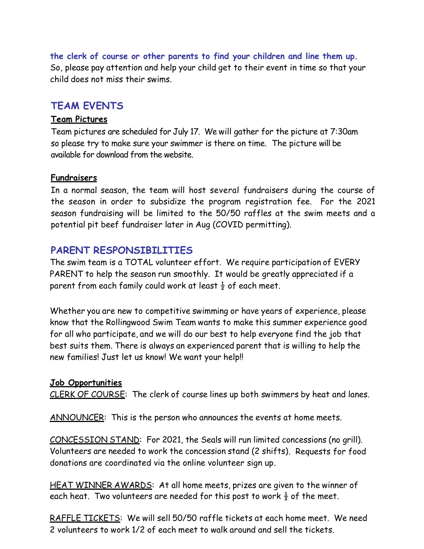the clerk of course or other parents to find your children and line them up. So, please pay attention and help your child get to their event in time so that your child does not miss their swims.

## TEAM EVENTS

#### Team Pictures

Team pictures are scheduled for July 17. We will gather for the picture at 7:30am so please try to make sure your swimmer is there on time. The picture will be available for download from the website.

#### Fundraisers

In a normal season, the team will host several fundraisers during the course of the season in order to subsidize the program registration fee. For the 2021 season fundraising will be limited to the 50/50 raffles at the swim meets and a potential pit beef fundraiser later in Aug (COVID permitting).

## PARENT RESPONSIBILITIES

The swim team is a TOTAL volunteer effort. We require participation of EVERY PARENT to help the season run smoothly. It would be greatly appreciated if a parent from each family could work at least  $\frac{1}{2}$  of each meet.

Whether you are new to competitive swimming or have years of experience, please know that the Rollingwood Swim Team wants to make this summer experience good for all who participate, and we will do our best to help everyone find the job that best suits them. There is always an experienced parent that is willing to help the new families! Just let us know! We want your help!!

#### Job Opportunities

CLERK OF COURSE: The clerk of course lines up both swimmers by heat and lanes.

ANNOUNCER: This is the person who announces the events at home meets.

CONCESSION STAND: For 2021, the Seals will run limited concessions (no grill). Volunteers are needed to work the concession stand (2 shifts). Requests for food donations are coordinated via the online volunteer sign up.

HEAT WINNER AWARDS: At all home meets, prizes are given to the winner of each heat. Two volunteers are needed for this post to work  $\frac{1}{2}$  of the meet.

RAFFLE TICKETS: We will sell 50/50 raffle tickets at each home meet. We need 2 volunteers to work 1/2 of each meet to walk around and sell the tickets.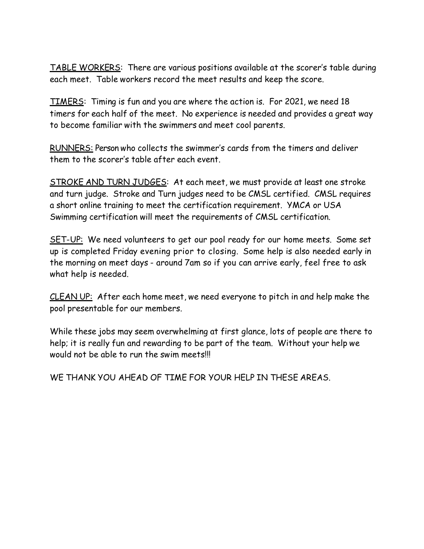TABLE WORKERS: There are various positions available at the scorer's table during each meet. Table workers record the meet results and keep the score.

TIMERS: Timing is fun and you are where the action is. For 2021, we need 18 timers for each half of the meet. No experience is needed and provides a great way to become familiar with the swimmers and meet cool parents.

RUNNERS: Person who collects the swimmer's cards from the timers and deliver them to the scorer's table after each event.

STROKE AND TURN JUDGES: At each meet, we must provide at least one stroke and turn judge. Stroke and Turn judges need to be CMSL certified. CMSL requires a short online training to meet the certification requirement. YMCA or USA Swimming certification will meet the requirements of CMSL certification.

SET-UP: We need volunteers to get our pool ready for our home meets. Some set up is completed Friday evening prior to closing. Some help is also needed early in the morning on meet days - around 7am so if you can arrive early, feel free to ask what help is needed.

CLEAN UP: After each home meet, we need everyone to pitch in and help make the pool presentable for our members.

While these jobs may seem overwhelming at first glance, lots of people are there to help; it is really fun and rewarding to be part of the team. Without your help we would not be able to run the swim meets!!!

WE THANK YOU AHEAD OF TIME FOR YOUR HELP IN THESE AREAS.